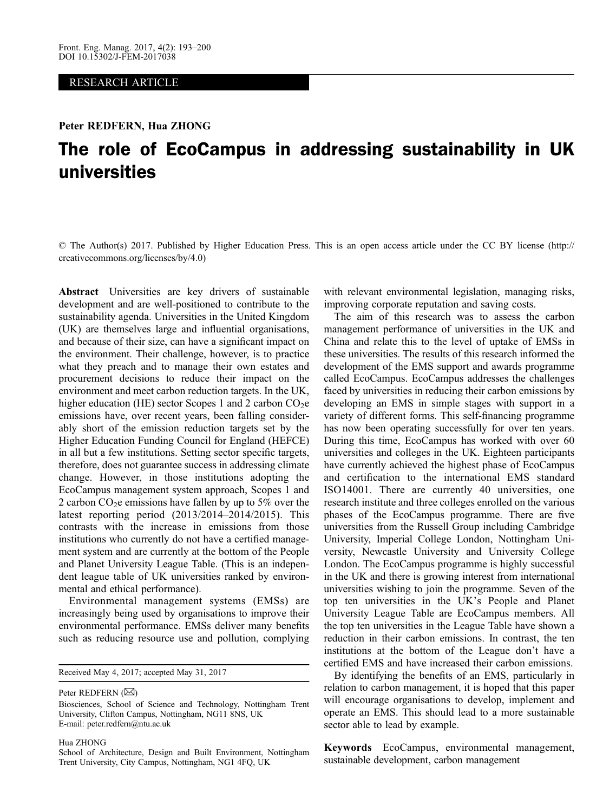#### RESEARCH ARTICLE

#### Peter REDFERN, Hua ZHONG

# The role of EcoCampus in addressing sustainability in UK universities

© The Author(s) 2017. Published by Higher Education Press. This is an open access article under the CC BY license (http:// creativecommons.org/licenses/by/4.0)

Abstract Universities are key drivers of sustainable development and are well-positioned to contribute to the sustainability agenda. Universities in the United Kingdom (UK) are themselves large and influential organisations, and because of their size, can have a significant impact on the environment. Their challenge, however, is to practice what they preach and to manage their own estates and procurement decisions to reduce their impact on the environment and meet carbon reduction targets. In the UK, higher education (HE) sector Scopes 1 and 2 carbon  $CO<sub>2</sub>e$ emissions have, over recent years, been falling considerably short of the emission reduction targets set by the Higher Education Funding Council for England (HEFCE) in all but a few institutions. Setting sector specific targets, therefore, does not guarantee success in addressing climate change. However, in those institutions adopting the EcoCampus management system approach, Scopes 1 and 2 carbon  $CO<sub>2</sub>e$  emissions have fallen by up to 5% over the latest reporting period (2013/2014–2014/2015). This contrasts with the increase in emissions from those institutions who currently do not have a certified management system and are currently at the bottom of the People and Planet University League Table. (This is an independent league table of UK universities ranked by environmental and ethical performance).

Environmental management systems (EMSs) are increasingly being used by organisations to improve their environmental performance. EMSs deliver many benefits such as reducing resource use and pollution, complying

Received May 4, 2017; accepted May 31, 2017

Peter REDFERN  $(\boxtimes)$ 

Hua ZHONG

with relevant environmental legislation, managing risks, improving corporate reputation and saving costs.

The aim of this research was to assess the carbon management performance of universities in the UK and China and relate this to the level of uptake of EMSs in these universities. The results of this research informed the development of the EMS support and awards programme called EcoCampus. EcoCampus addresses the challenges faced by universities in reducing their carbon emissions by developing an EMS in simple stages with support in a variety of different forms. This self-financing programme has now been operating successfully for over ten years. During this time, EcoCampus has worked with over 60 universities and colleges in the UK. Eighteen participants have currently achieved the highest phase of EcoCampus and certification to the international EMS standard ISO14001. There are currently 40 universities, one research institute and three colleges enrolled on the various phases of the EcoCampus programme. There are five universities from the Russell Group including Cambridge University, Imperial College London, Nottingham University, Newcastle University and University College London. The EcoCampus programme is highly successful in the UK and there is growing interest from international universities wishing to join the programme. Seven of the top ten universities in the UK's People and Planet University League Table are EcoCampus members. All the top ten universities in the League Table have shown a reduction in their carbon emissions. In contrast, the ten institutions at the bottom of the League don't have a certified EMS and have increased their carbon emissions.

By identifying the benefits of an EMS, particularly in relation to carbon management, it is hoped that this paper will encourage organisations to develop, implement and operate an EMS. This should lead to a more sustainable sector able to lead by example.

Keywords EcoCampus, environmental management, sustainable development, carbon management

Biosciences, School of Science and Technology, Nottingham Trent University, Clifton Campus, Nottingham, NG11 8NS, UK E-mail: peter.redfern@ntu.ac.uk

School of Architecture, Design and Built Environment, Nottingham Trent University, City Campus, Nottingham, NG1 4FQ, UK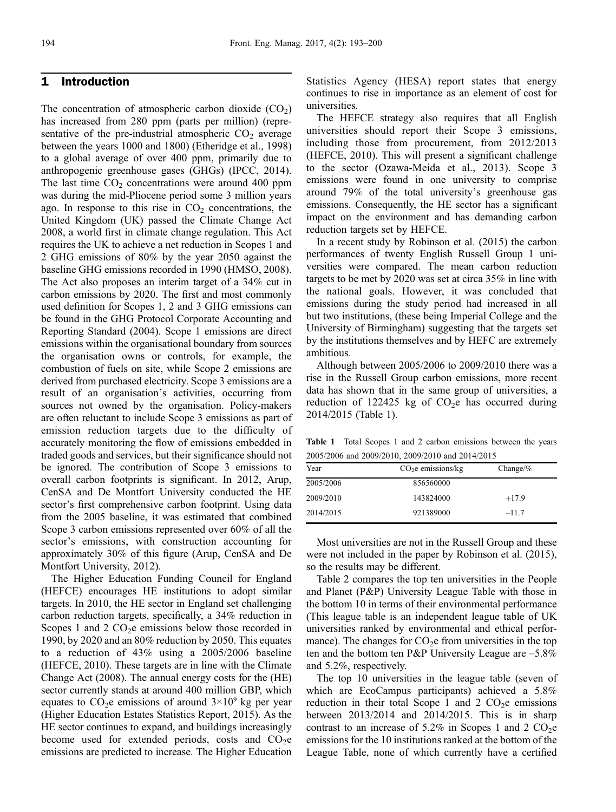## 1 Introduction

The concentration of atmospheric carbon dioxide  $(CO<sub>2</sub>)$ has increased from 280 ppm (parts per million) (representative of the pre-industrial atmospheric  $CO<sub>2</sub>$  average between the years 1000 and 1800) [\(Etheridge et al., 1998\)](#page-7-0) to a global average of over 400 ppm, primarily due to anthropogenic greenhouse gases (GHGs) ([IPCC, 2014](#page-7-0)). The last time  $CO<sub>2</sub>$  concentrations were around 400 ppm was during the mid-Pliocene period some 3 million years ago. In response to this rise in  $CO<sub>2</sub>$  concentrations, the United Kingdom (UK) passed the Climate Change Act 2008, a world first in climate change regulation. This Act requires the UK to achieve a net reduction in Scopes 1 and 2 GHG emissions of 80% by the year 2050 against the baseline GHG emissions recorded in 1990 [\(HMSO, 2008](#page-7-0)). The Act also proposes an interim target of a 34% cut in carbon emissions by 2020. The first and most commonly used definition for Scopes 1, 2 and 3 GHG emissions can be found in the [GHG Protocol Corporate Accounting and](#page-7-0) [Reporting Standard \(2004\)](#page-7-0). Scope 1 emissions are direct emissions within the organisational boundary from sources the organisation owns or controls, for example, the combustion of fuels on site, while Scope 2 emissions are derived from purchased electricity. Scope 3 emissions are a result of an organisation's activities, occurring from sources not owned by the organisation. Policy-makers are often reluctant to include Scope 3 emissions as part of emission reduction targets due to the difficulty of accurately monitoring the flow of emissions embedded in traded goods and services, but their significance should not be ignored. The contribution of Scope 3 emissions to overall carbon footprints is significant. In 2012, Arup, CenSA and De Montfort University conducted the HE sector's first comprehensive carbon footprint. Using data from the 2005 baseline, it was estimated that combined Scope 3 carbon emissions represented over 60% of all the sector's emissions, with construction accounting for approximately 30% of this figure [\(Arup, CenSA and De](#page-6-0) [Montfort University, 2012\)](#page-6-0).

The Higher Education Funding Council for England (HEFCE) encourages HE institutions to adopt similar targets. In 2010, the HE sector in England set challenging carbon reduction targets, specifically, a 34% reduction in Scopes 1 and 2  $CO<sub>2</sub>e$  emissions below those recorded in 1990, by 2020 and an 80% reduction by 2050. This equates to a reduction of 43% using a 2005/2006 baseline [\(HEFCE, 2010](#page-7-0)). These targets are in line with the [Climate](#page-7-0) [Change Act \(2008\)](#page-7-0). The annual energy costs for the (HE) sector currently stands at around 400 million GBP, which equates to  $CO<sub>2</sub>e$  emissions of around  $3\times10^9$  kg per year [\(Higher Education Estates Statistics Report, 2015](#page-7-0)). As the HE sector continues to expand, and buildings increasingly become used for extended periods, costs and  $CO<sub>2</sub>e$ emissions are predicted to increase. The Higher Education

Statistics Agency (HESA) report states that energy continues to rise in importance as an element of cost for universities.

The HEFCE strategy also requires that all English universities should report their Scope 3 emissions, including those from procurement, from 2012/2013 ([HEFCE, 2010\)](#page-7-0). This will present a significant challenge to the sector [\(Ozawa-Meida et al., 2013\)](#page-7-0). Scope 3 emissions were found in one university to comprise around 79% of the total university's greenhouse gas emissions. Consequently, the HE sector has a significant impact on the environment and has demanding carbon reduction targets set by HEFCE.

In a recent study by [Robinson et al. \(2015](#page-7-0)) the carbon performances of twenty English Russell Group 1 universities were compared. The mean carbon reduction targets to be met by 2020 was set at circa 35% in line with the national goals. However, it was concluded that emissions during the study period had increased in all but two institutions, (these being Imperial College and the University of Birmingham) suggesting that the targets set by the institutions themselves and by HEFC are extremely ambitious.

Although between 2005/2006 to 2009/2010 there was a rise in the Russell Group carbon emissions, more recent data has shown that in the same group of universities, a reduction of 122425 kg of  $CO<sub>2</sub>e$  has occurred during 2014/2015 (Table 1).

Table 1 Total Scopes 1 and 2 carbon emissions between the years 2005/2006 and 2009/2010, 2009/2010 and 2014/2015

| $CO2e$ emissions/kg | Change/ $%$ |  |
|---------------------|-------------|--|
| 856560000           |             |  |
| 143824000           | $+17.9$     |  |
| 921389000           | $-11.7$     |  |
|                     |             |  |

Most universities are not in the Russell Group and these were not included in the paper by [Robinson et al. \(2015\),](#page-7-0) so the results may be different.

Table 2 compares the top ten universities in the People and Planet (P&P) University League Table with those in the bottom 10 in terms of their environmental performance (This league table is an independent league table of UK universities ranked by environmental and ethical performance). The changes for  $CO<sub>2</sub>e$  from universities in the top ten and the bottom ten P&P University League are –5.8% and 5.2%, respectively.

The top 10 universities in the league table (seven of which are EcoCampus participants) achieved a 5.8% reduction in their total Scope 1 and 2  $CO<sub>2</sub>e$  emissions between 2013/2014 and 2014/2015. This is in sharp contrast to an increase of 5.2% in Scopes 1 and 2  $CO<sub>2</sub>e$ emissions for the 10 institutions ranked at the bottom of the League Table, none of which currently have a certified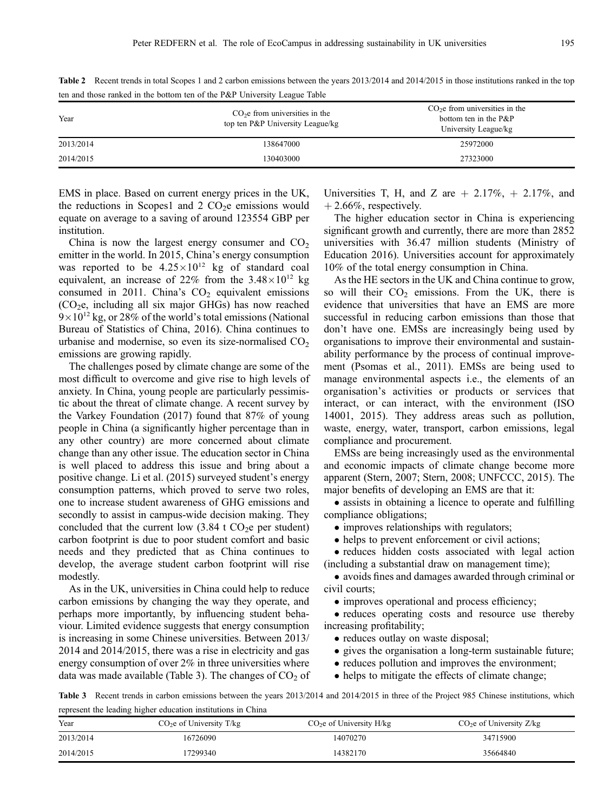| Year      | $\overline{\phantom{0}}$<br>$CO2e$ from universities in the<br>top ten P&P University League/kg | $CO2e$ from universities in the<br>bottom ten in the P&P<br>University League/kg |
|-----------|-------------------------------------------------------------------------------------------------|----------------------------------------------------------------------------------|
| 2013/2014 | 138647000                                                                                       | 25972000                                                                         |
| 2014/2015 | 130403000                                                                                       | 27323000                                                                         |

Table 2 Recent trends in total Scopes 1 and 2 carbon emissions between the years  $2013/2014$  and  $2014/2015$  in those institutions ranked in the top ten and those ranked in the bottom ten of the P&P University League Table

EMS in place. Based on current energy prices in the UK, the reductions in Scopes1 and  $2 \text{ CO}_2$ e emissions would equate on average to a saving of around 123554 GBP per institution.

China is now the largest energy consumer and  $CO<sub>2</sub>$ emitter in the world. In 2015, China's energy consumption was reported to be  $4.25 \times 10^{12}$  kg of standard coal equivalent, an increase of 22% from the  $3.48\times10^{12}$  kg consumed in 2011. China's  $CO<sub>2</sub>$  equivalent emissions  $(CO<sub>2</sub>e, including all six major GHGs) has now reached$  $9\times10^{12}$  kg, or 28% of the world's total emissions [\(National](#page-7-0) [Bureau of Statistics of China, 2016\)](#page-7-0). China continues to urbanise and modernise, so even its size-normalised  $CO<sub>2</sub>$ emissions are growing rapidly.

The challenges posed by climate change are some of the most difficult to overcome and give rise to high levels of anxiety. In China, young people are particularly pessimistic about the threat of climate change. A recent survey by [the Varkey Foundation \(2017\)](#page-7-0) found that 87% of young people in China (a significantly higher percentage than in any other country) are more concerned about climate change than any other issue. The education sector in China is well placed to address this issue and bring about a positive change. [Li et al. \(2015\)](#page-7-0) surveyed student's energy consumption patterns, which proved to serve two roles, one to increase student awareness of GHG emissions and secondly to assist in campus-wide decision making. They concluded that the current low  $(3.84 \text{ t } CO<sub>2</sub>)$ e per student) carbon footprint is due to poor student comfort and basic needs and they predicted that as China continues to develop, the average student carbon footprint will rise modestly.

As in the UK, universities in China could help to reduce carbon emissions by changing the way they operate, and perhaps more importantly, by influencing student behaviour. Limited evidence suggests that energy consumption is increasing in some Chinese universities. Between 2013/ 2014 and 2014/2015, there was a rise in electricity and gas energy consumption of over 2% in three universities where data was made available (Table 3). The changes of  $CO<sub>2</sub>$  of Universities T, H, and Z are  $+ 2.17\%, + 2.17\%,$  and  $+ 2.66\%$ , respectively.

The higher education sector in China is experiencing significant growth and currently, there are more than 2852 universities with 36.47 million students [\(Ministry of](#page-7-0) [Education 2016](#page-7-0)). Universities account for approximately 10% of the total energy consumption in China.

As the HE sectors in the UK and China continue to grow, so will their  $CO<sub>2</sub>$  emissions. From the UK, there is evidence that universities that have an EMS are more successful in reducing carbon emissions than those that don't have one. EMSs are increasingly being used by organisations to improve their environmental and sustainability performance by the process of continual improvement [\(Psomas et al., 2011\)](#page-7-0). EMSs are being used to manage environmental aspects i.e., the elements of an organisation's activities or products or services that interact, or can interact, with the environment (ISO 14001, 2015). They address areas such as pollution, waste, energy, water, transport, carbon emissions, legal compliance and procurement.

EMSs are being increasingly used as the environmental and economic impacts of climate change become more apparent [\(Stern, 2007](#page-7-0); [Stern, 2008; UNFCCC, 2015\)](#page-7-0). The major benefits of developing an EMS are that it:

• assists in obtaining a licence to operate and fulfilling compliance obligations;

- improves relationships with regulators;
- helps to prevent enforcement or civil actions;

• reduces hidden costs associated with legal action (including a substantial draw on management time);

 avoids fines and damages awarded through criminal or civil courts;

• improves operational and process efficiency;

• reduces operating costs and resource use thereby increasing profitability;

- reduces outlay on waste disposal;
- gives the organisation a long-term sustainable future;
- reduces pollution and improves the environment;
- helps to mitigate the effects of climate change;

Table 3 Recent trends in carbon emissions between the years 2013/2014 and 2014/2015 in three of the Project 985 Chinese institutions, which represent the leading higher education institutions in China

| Year      | $CO2e$ of University T/kg | $CO2e$ of University H/kg | $CO2e$ of University Z/kg |
|-----------|---------------------------|---------------------------|---------------------------|
| 2013/2014 | 16726090                  | 14070270                  | 34715900                  |
| 2014/2015 | 7299340                   | 14382170                  | 35664840                  |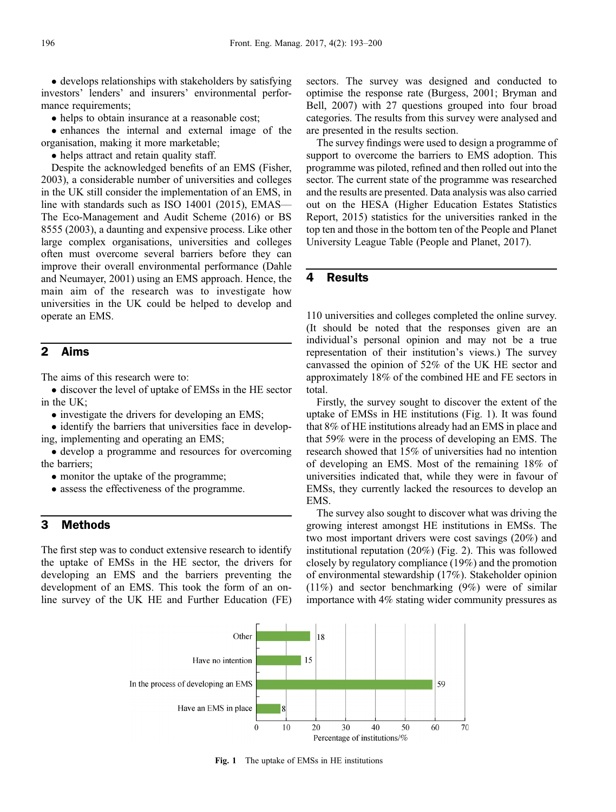• develops relationships with stakeholders by satisfying investors' lenders' and insurers' environmental performance requirements;

• helps to obtain insurance at a reasonable cost;

 enhances the internal and external image of the organisation, making it more marketable;

• helps attract and retain quality staff.

Despite the acknowledged benefits of an EMS ([Fisher,](#page-7-0) [2003\)](#page-7-0), a considerable number of universities and colleges in the UK still consider the implementation of an EMS, in line with standards such as ISO 14001 (2015), [EMAS](#page-7-0)–– [The Eco-Management and Audit Scheme \(2016\)](#page-7-0) or [BS](#page-7-0) [8555 \(2003\),](#page-7-0) a daunting and expensive process. Like other large complex organisations, universities and colleges often must overcome several barriers before they can improve their overall environmental performance [\(Dahle](#page-7-0) [and Neumayer, 2001](#page-7-0)) using an EMS approach. Hence, the main aim of the research was to investigate how universities in the UK could be helped to develop and operate an EMS.

# 2 Aims

The aims of this research were to:

 discover the level of uptake of EMSs in the HE sector in the UK;

• investigate the drivers for developing an EMS;

• identify the barriers that universities face in developing, implementing and operating an EMS;

• develop a programme and resources for overcoming the barriers;

- monitor the uptake of the programme;
- assess the effectiveness of the programme.

## 3 Methods

The first step was to conduct extensive research to identify the uptake of EMSs in the HE sector, the drivers for developing an EMS and the barriers preventing the development of an EMS. This took the form of an online survey of the UK HE and Further Education (FE)

sectors. The survey was designed and conducted to optimise the response rate [\(Burgess, 2001](#page-7-0); [Bryman and](#page-7-0) [Bell, 2007\)](#page-7-0) with 27 questions grouped into four broad categories. The results from this survey were analysed and are presented in the results section.

The survey findings were used to design a programme of support to overcome the barriers to EMS adoption. This programme was piloted, refined and then rolled out into the sector. The current state of the programme was researched and the results are presented. Data analysis was also carried out on the HESA [\(Higher Education Estates Statistics](#page-7-0) [Report, 2015\)](#page-7-0) statistics for the universities ranked in the top ten and those in the bottom ten of the People and Planet University League Table ([People and Planet, 2017\)](#page-7-0).

### 4 Results

110 universities and colleges completed the online survey. (It should be noted that the responses given are an individual's personal opinion and may not be a true representation of their institution's views.) The survey canvassed the opinion of 52% of the UK HE sector and approximately 18% of the combined HE and FE sectors in total.

Firstly, the survey sought to discover the extent of the uptake of EMSs in HE institutions (Fig. 1). It was found that 8% of HE institutions already had an EMS in place and that 59% were in the process of developing an EMS. The research showed that 15% of universities had no intention of developing an EMS. Most of the remaining 18% of universities indicated that, while they were in favour of EMSs, they currently lacked the resources to develop an EMS.

The survey also sought to discover what was driving the growing interest amongst HE institutions in EMSs. The two most important drivers were cost savings (20%) and institutional reputation (20%) (Fig. 2). This was followed closely by regulatory compliance (19%) and the promotion of environmental stewardship (17%). Stakeholder opinion (11%) and sector benchmarking (9%) were of similar importance with 4% stating wider community pressures as



Fig. 1 The uptake of EMSs in HE institutions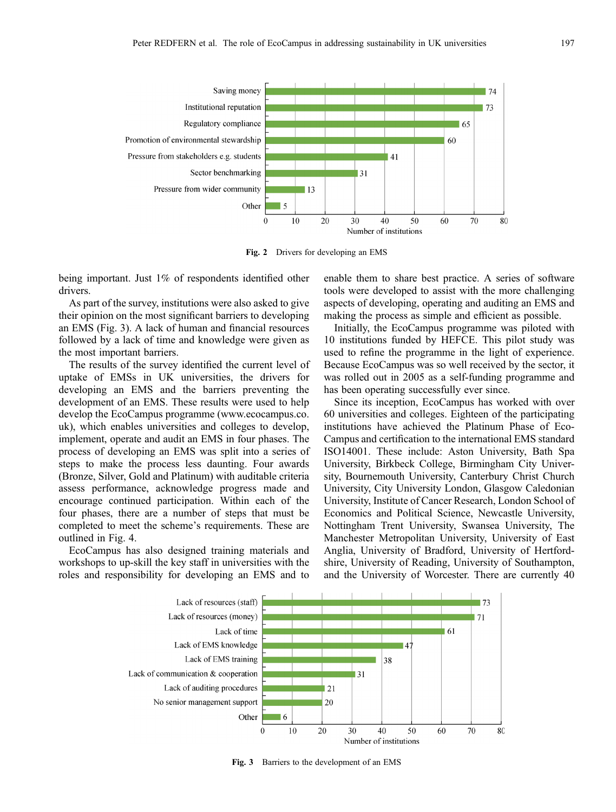

Fig. 2 Drivers for developing an EMS

being important. Just 1% of respondents identified other drivers.

As part of the survey, institutions were also asked to give their opinion on the most significant barriers to developing an EMS (Fig. 3). A lack of human and financial resources followed by a lack of time and knowledge were given as the most important barriers.

The results of the survey identified the current level of uptake of EMSs in UK universities, the drivers for developing an EMS and the barriers preventing the development of an EMS. These results were used to help develop the EcoCampus programme (www.ecocampus.co. uk), which enables universities and colleges to develop, implement, operate and audit an EMS in four phases. The process of developing an EMS was split into a series of steps to make the process less daunting. Four awards (Bronze, Silver, Gold and Platinum) with auditable criteria assess performance, acknowledge progress made and encourage continued participation. Within each of the four phases, there are a number of steps that must be completed to meet the scheme's requirements. These are outlined in Fig. 4.

EcoCampus has also designed training materials and workshops to up-skill the key staff in universities with the roles and responsibility for developing an EMS and to enable them to share best practice. A series of software tools were developed to assist with the more challenging aspects of developing, operating and auditing an EMS and making the process as simple and efficient as possible.

Initially, the EcoCampus programme was piloted with 10 institutions funded by HEFCE. This pilot study was used to refine the programme in the light of experience. Because EcoCampus was so well received by the sector, it was rolled out in 2005 as a self-funding programme and has been operating successfully ever since.

Since its inception, EcoCampus has worked with over 60 universities and colleges. Eighteen of the participating institutions have achieved the Platinum Phase of Eco-Campus and certification to the international EMS standard ISO14001. These include: Aston University, Bath Spa University, Birkbeck College, Birmingham City University, Bournemouth University, Canterbury Christ Church University, City University London, Glasgow Caledonian University, Institute of Cancer Research, London School of Economics and Political Science, Newcastle University, Nottingham Trent University, Swansea University, The Manchester Metropolitan University, University of East Anglia, University of Bradford, University of Hertfordshire, University of Reading, University of Southampton, and the University of Worcester. There are currently 40



Fig. 3 Barriers to the development of an EMS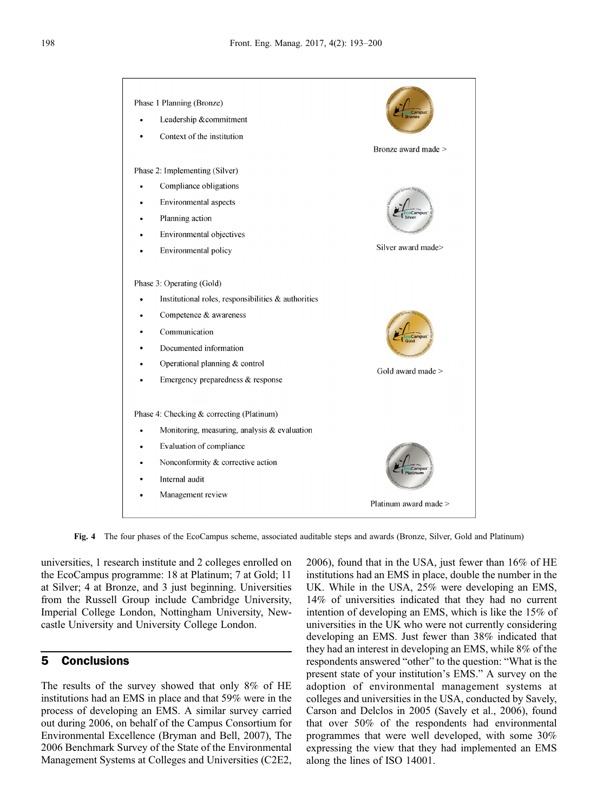

Fig. 4 The four phases of the EcoCampus scheme, associated auditable steps and awards (Bronze, Silver, Gold and Platinum)

universities, 1 research institute and 2 colleges enrolled on the EcoCampus programme: 18 at Platinum; 7 at Gold; 11 at Silver; 4 at Bronze, and 3 just beginning. Universities from the Russell Group include Cambridge University, Imperial College London, Nottingham University, Newcastle University and University College London.

## 5 Conclusions

The results of the survey showed that only 8% of HE institutions had an EMS in place and that 59% were in the process of developing an EMS. A similar survey carried out during 2006, on behalf of the Campus Consortium for Environmental Excellence ([Bryman and Bell, 2007](#page-7-0)), [The](#page-7-0) [2006 Benchmark Survey of the State of the Environmental](#page-7-0) [Management Systems at Colleges and Universities \(C2E2,](#page-7-0)

[2006](#page-7-0)), found that in the USA, just fewer than 16% of HE institutions had an EMS in place, double the number in the UK. While in the USA, 25% were developing an EMS, 14% of universities indicated that they had no current intention of developing an EMS, which is like the 15% of universities in the UK who were not currently considering developing an EMS. Just fewer than 38% indicated that they had an interest in developing an EMS, while 8% of the respondents answered "other" to the question: "What is the present state of your institution's EMS." A survey on the adoption of environmental management systems at colleges and universities in the USA, conducted by Savely, Carson and Delclos in 2005 ([Savely et al., 2006](#page-7-0)), found that over 50% of the respondents had environmental programmes that were well developed, with some 30% expressing the view that they had implemented an EMS along the lines of ISO 14001.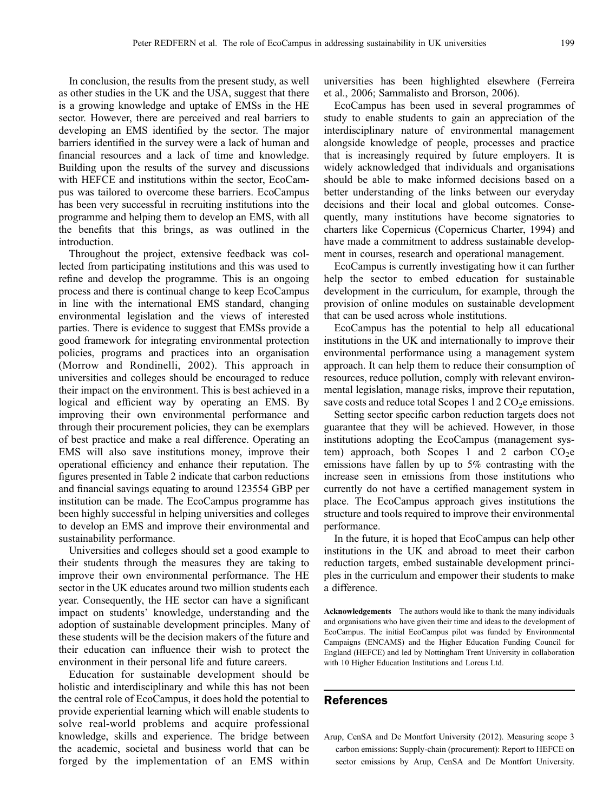<span id="page-6-0"></span>In conclusion, the results from the present study, as well as other studies in the UK and the USA, suggest that there is a growing knowledge and uptake of EMSs in the HE sector. However, there are perceived and real barriers to developing an EMS identified by the sector. The major barriers identified in the survey were a lack of human and financial resources and a lack of time and knowledge. Building upon the results of the survey and discussions with HEFCE and institutions within the sector, EcoCampus was tailored to overcome these barriers. EcoCampus has been very successful in recruiting institutions into the programme and helping them to develop an EMS, with all the benefits that this brings, as was outlined in the introduction.

Throughout the project, extensive feedback was collected from participating institutions and this was used to refine and develop the programme. This is an ongoing process and there is continual change to keep EcoCampus in line with the international EMS standard, changing environmental legislation and the views of interested parties. There is evidence to suggest that EMSs provide a good framework for integrating environmental protection policies, programs and practices into an organisation [\(Morrow and Rondinelli, 2002\)](#page-7-0). This approach in universities and colleges should be encouraged to reduce their impact on the environment. This is best achieved in a logical and efficient way by operating an EMS. By improving their own environmental performance and through their procurement policies, they can be exemplars of best practice and make a real difference. Operating an EMS will also save institutions money, improve their operational efficiency and enhance their reputation. The figures presented in Table 2 indicate that carbon reductions and financial savings equating to around 123554 GBP per institution can be made. The EcoCampus programme has been highly successful in helping universities and colleges to develop an EMS and improve their environmental and sustainability performance.

Universities and colleges should set a good example to their students through the measures they are taking to improve their own environmental performance. The HE sector in the UK educates around two million students each year. Consequently, the HE sector can have a significant impact on students' knowledge, understanding and the adoption of sustainable development principles. Many of these students will be the decision makers of the future and their education can influence their wish to protect the environment in their personal life and future careers.

Education for sustainable development should be holistic and interdisciplinary and while this has not been the central role of EcoCampus, it does hold the potential to provide experiential learning which will enable students to solve real-world problems and acquire professional knowledge, skills and experience. The bridge between the academic, societal and business world that can be forged by the implementation of an EMS within universities has been highlighted elsewhere [\(Ferreira](#page-7-0) [et al., 2006](#page-7-0); [Sammalisto and Brorson, 2006\)](#page-7-0).

EcoCampus has been used in several programmes of study to enable students to gain an appreciation of the interdisciplinary nature of environmental management alongside knowledge of people, processes and practice that is increasingly required by future employers. It is widely acknowledged that individuals and organisations should be able to make informed decisions based on a better understanding of the links between our everyday decisions and their local and global outcomes. Consequently, many institutions have become signatories to charters like Copernicus ([Copernicus Charter, 1994](#page-7-0)) and have made a commitment to address sustainable development in courses, research and operational management.

EcoCampus is currently investigating how it can further help the sector to embed education for sustainable development in the curriculum, for example, through the provision of online modules on sustainable development that can be used across whole institutions.

EcoCampus has the potential to help all educational institutions in the UK and internationally to improve their environmental performance using a management system approach. It can help them to reduce their consumption of resources, reduce pollution, comply with relevant environmental legislation, manage risks, improve their reputation, save costs and reduce total Scopes 1 and  $2 \text{CO}_2$ e emissions.

Setting sector specific carbon reduction targets does not guarantee that they will be achieved. However, in those institutions adopting the EcoCampus (management system) approach, both Scopes 1 and 2 carbon  $CO<sub>2</sub>e$ emissions have fallen by up to 5% contrasting with the increase seen in emissions from those institutions who currently do not have a certified management system in place. The EcoCampus approach gives institutions the structure and tools required to improve their environmental performance.

In the future, it is hoped that EcoCampus can help other institutions in the UK and abroad to meet their carbon reduction targets, embed sustainable development principles in the curriculum and empower their students to make a difference.

Acknowledgements The authors would like to thank the many individuals and organisations who have given their time and ideas to the development of EcoCampus. The initial EcoCampus pilot was funded by Environmental Campaigns (ENCAMS) and the Higher Education Funding Council for England (HEFCE) and led by Nottingham Trent University in collaboration with 10 Higher Education Institutions and Loreus Ltd.

## References

Arup, CenSA and De Montfort University (2012). Measuring scope 3 carbon emissions: Supply-chain (procurement): Report to HEFCE on sector emissions by Arup, CenSA and De Montfort University.